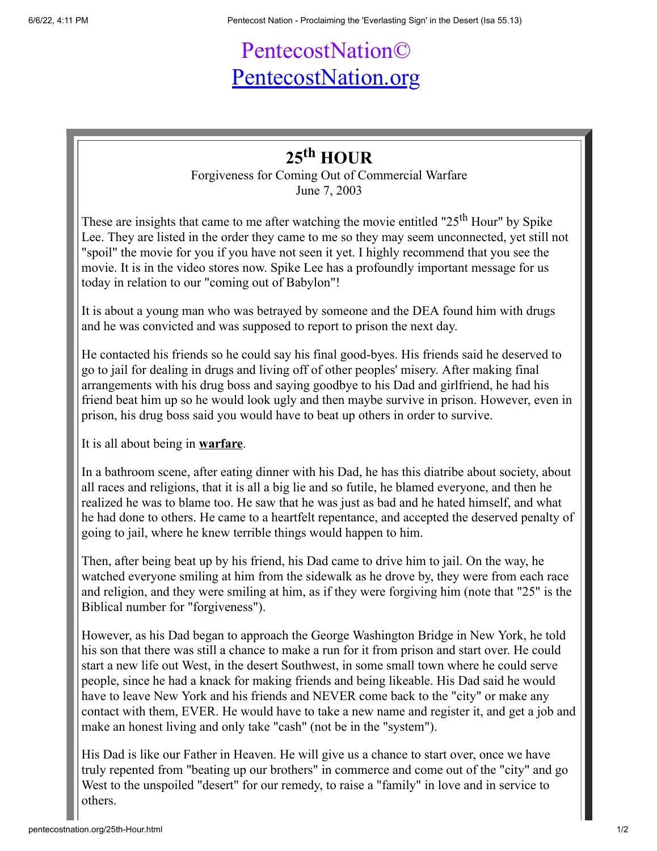## PentecostNation© [PentecostNation.org](http://pentecostnation.org/)

## **25th HOUR**

Forgiveness for Coming Out of Commercial Warfare June 7, 2003

These are insights that came to me after watching the movie entitled " $25<sup>th</sup>$  Hour" by Spike Lee. They are listed in the order they came to me so they may seem unconnected, yet still not "spoil" the movie for you if you have not seen it yet. I highly recommend that you see the movie. It is in the video stores now. Spike Lee has a profoundly important message for us today in relation to our "coming out of Babylon"!

It is about a young man who was betrayed by someone and the DEA found him with drugs and he was convicted and was supposed to report to prison the next day.

He contacted his friends so he could say his final good-byes. His friends said he deserved to go to jail for dealing in drugs and living off of other peoples' misery. After making final arrangements with his drug boss and saying goodbye to his Dad and girlfriend, he had his friend beat him up so he would look ugly and then maybe survive in prison. However, even in prison, his drug boss said you would have to beat up others in order to survive.

It is all about being in **warfare**.

In a bathroom scene, after eating dinner with his Dad, he has this diatribe about society, about all races and religions, that it is all a big lie and so futile, he blamed everyone, and then he realized he was to blame too. He saw that he was just as bad and he hated himself, and what he had done to others. He came to a heartfelt repentance, and accepted the deserved penalty of going to jail, where he knew terrible things would happen to him.

Then, after being beat up by his friend, his Dad came to drive him to jail. On the way, he watched everyone smiling at him from the sidewalk as he drove by, they were from each race and religion, and they were smiling at him, as if they were forgiving him (note that "25" is the Biblical number for "forgiveness").

However, as his Dad began to approach the George Washington Bridge in New York, he told his son that there was still a chance to make a run for it from prison and start over. He could start a new life out West, in the desert Southwest, in some small town where he could serve people, since he had a knack for making friends and being likeable. His Dad said he would have to leave New York and his friends and NEVER come back to the "city" or make any contact with them, EVER. He would have to take a new name and register it, and get a job and make an honest living and only take "cash" (not be in the "system").

His Dad is like our Father in Heaven. He will give us a chance to start over, once we have truly repented from "beating up our brothers" in commerce and come out of the "city" and go West to the unspoiled "desert" for our remedy, to raise a "family" in love and in service to others.